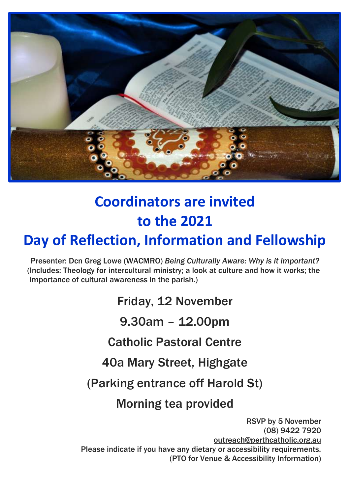

# **Coordinators are invited to the 2021**

## **Day of Reflection, Information and Fellowship**

Presenter: Dcn Greg Lowe (WACMRO) *Being Culturally Aware: Why is it important?* (Includes: Theology for intercultural ministry; a look at culture and how it works; the importance of cultural awareness in the parish.)

Friday, 12 November

9.30am – 12.00pm

Catholic Pastoral Centre

40a Mary Street, Highgate

(Parking entrance off Harold St)

Morning tea provided

RSVP by 5 November (08) 9422 7920 [outreach@perthcatholic.org.au](mailto:outreach@perthcatholic.org.au) Please indicate if you have any dietary or accessibility requirements. (PTO for Venue & Accessibility Information)